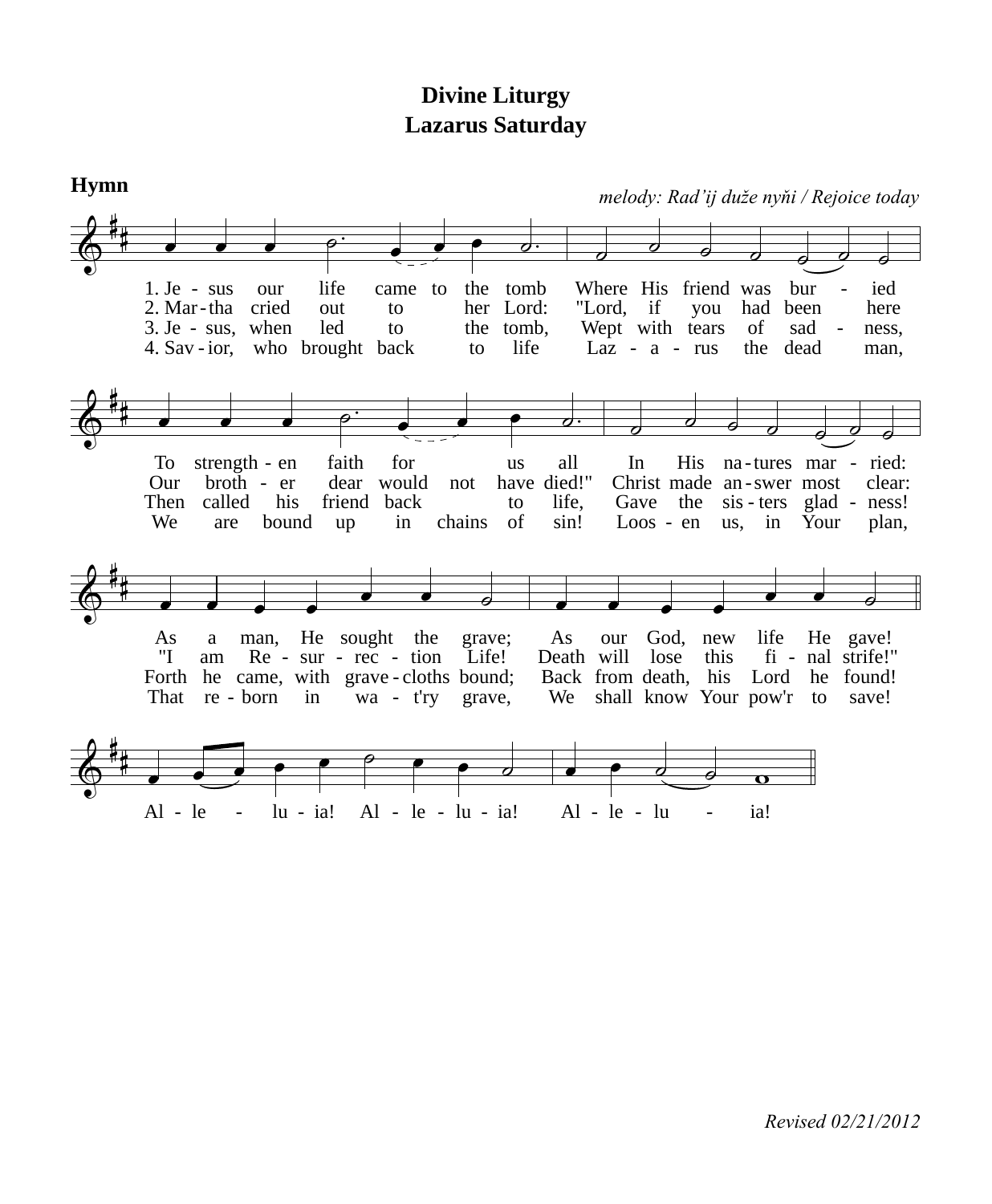## **Divine Liturgy Lazarus Saturday**

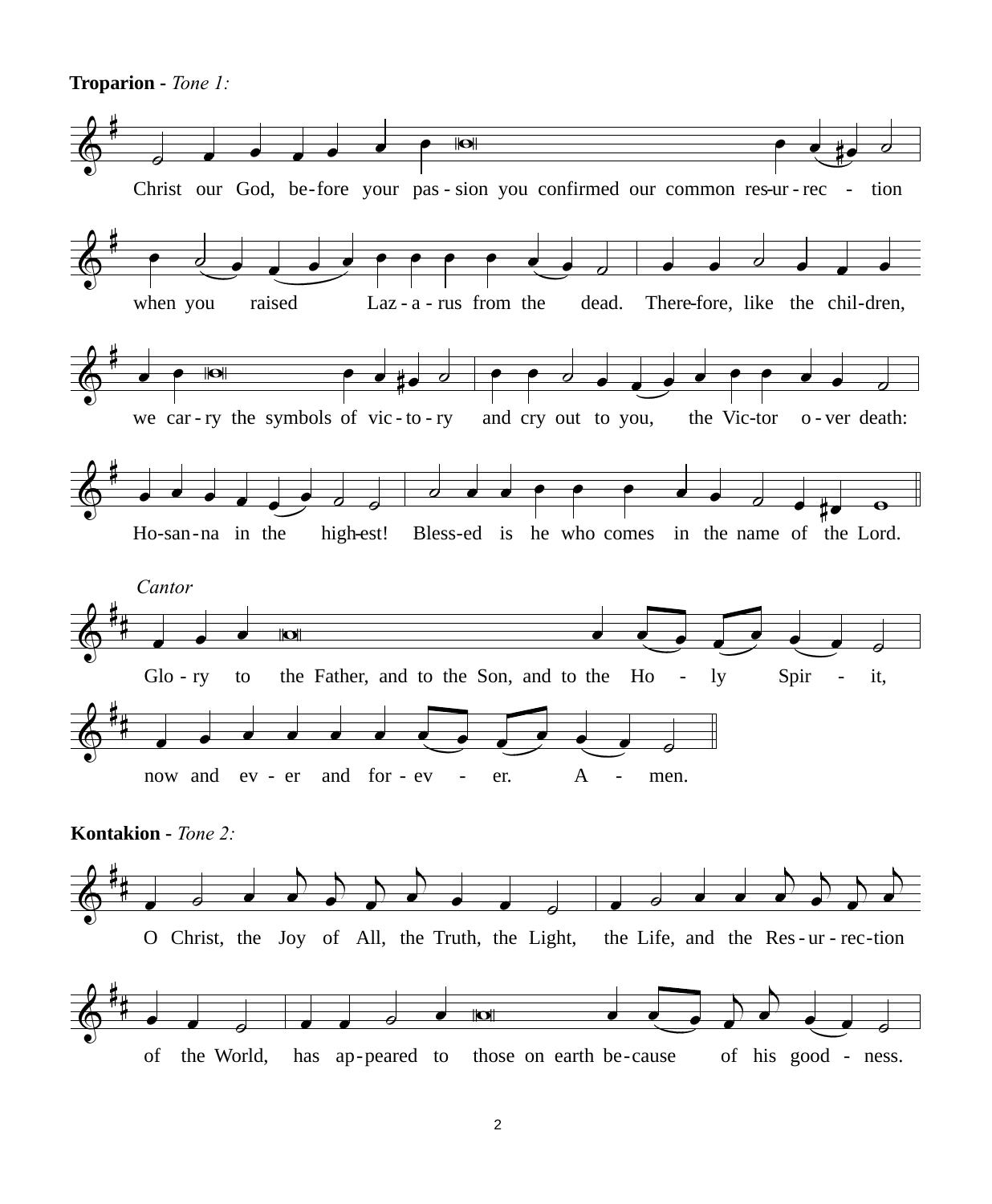Troparion - Tone 1:

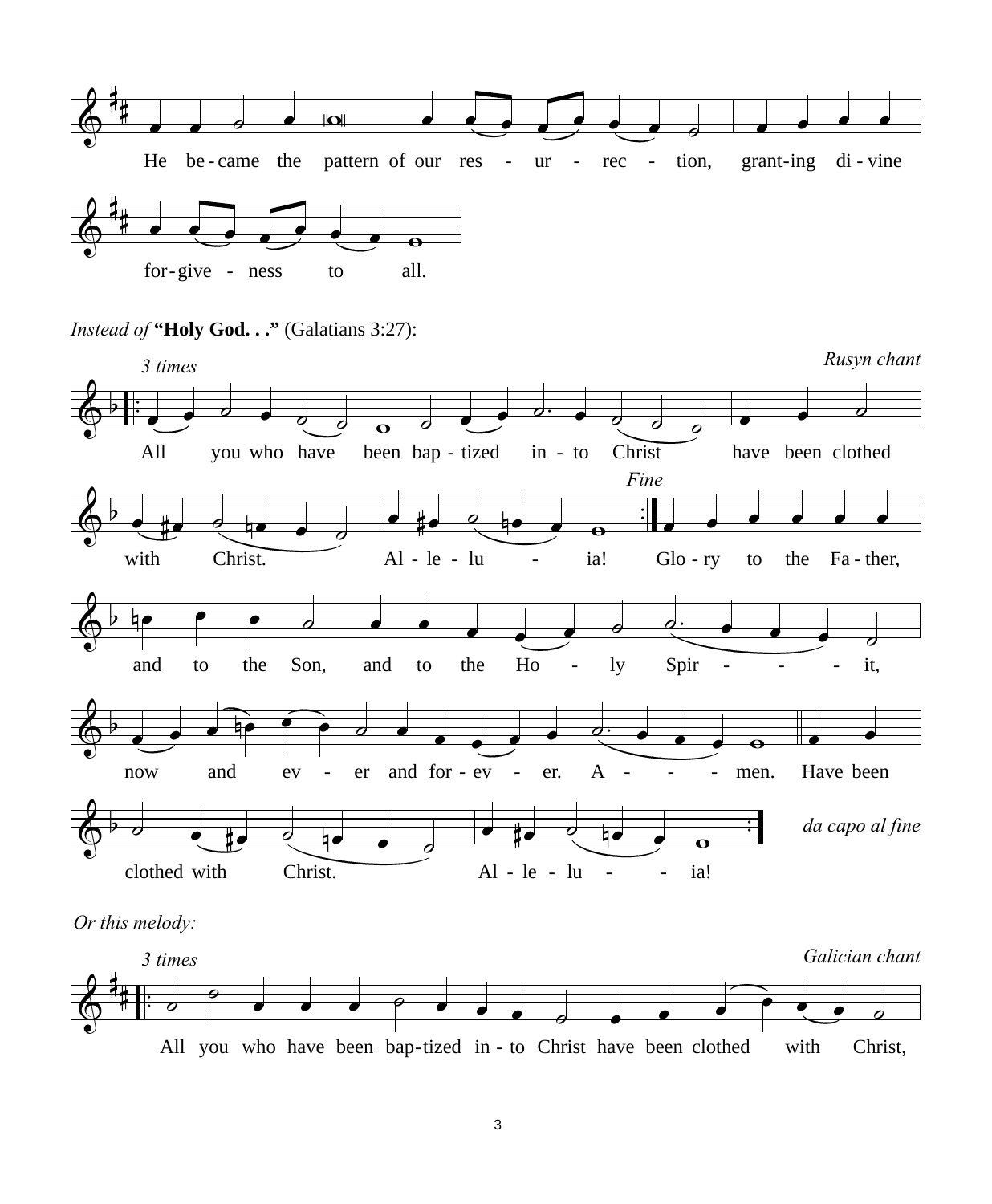

## Instead of "Holy God..." (Galatians 3:27):



Or this melody:

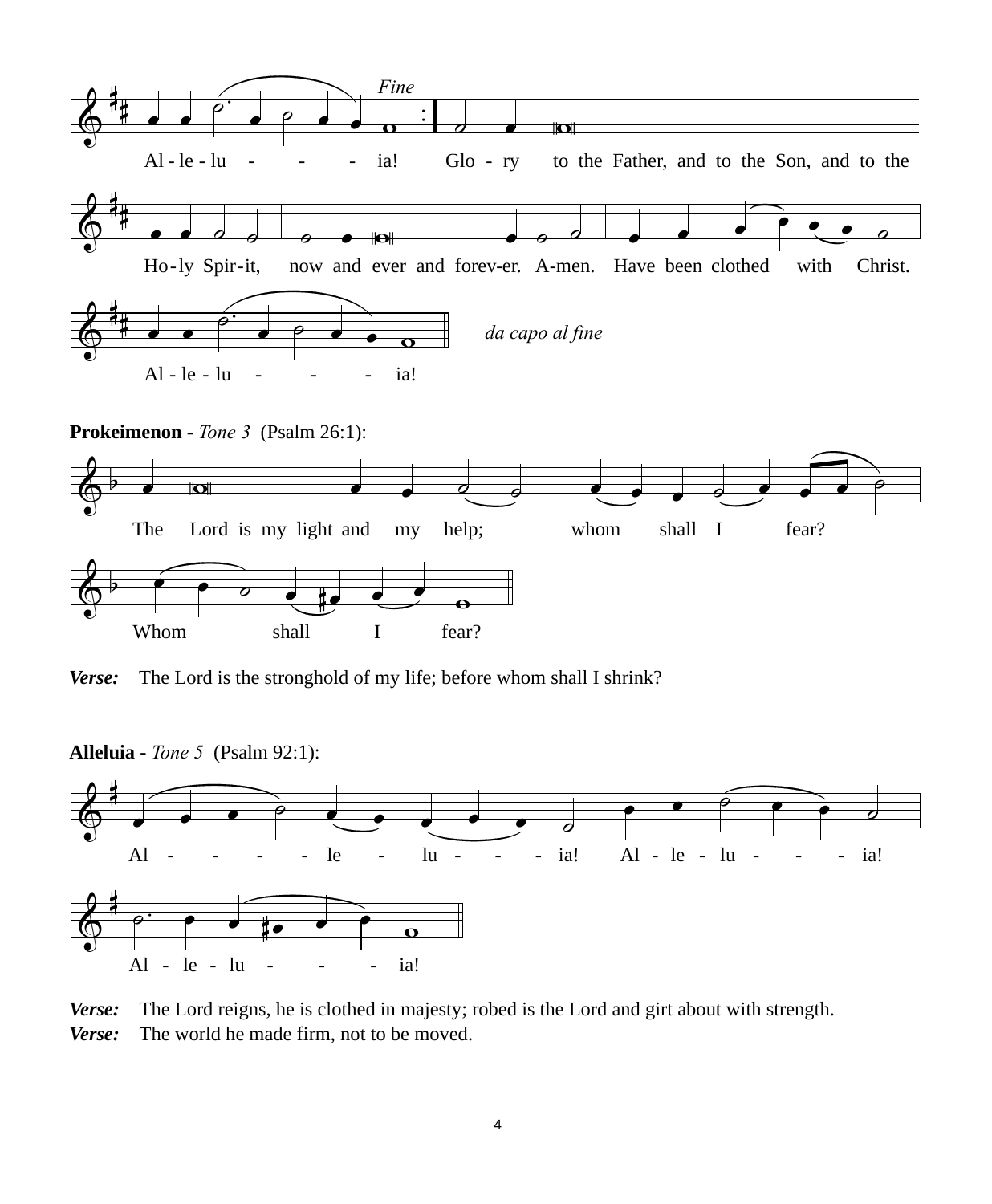

*Verse:* The Lord is the stronghold of my life; before whom shall I shrink?

**Alleluia -** *Tone 5* (Psalm 92:1):



*Verse:* The Lord reigns, he is clothed in majesty; robed is the Lord and girt about with strength. *Verse:* The world he made firm, not to be moved.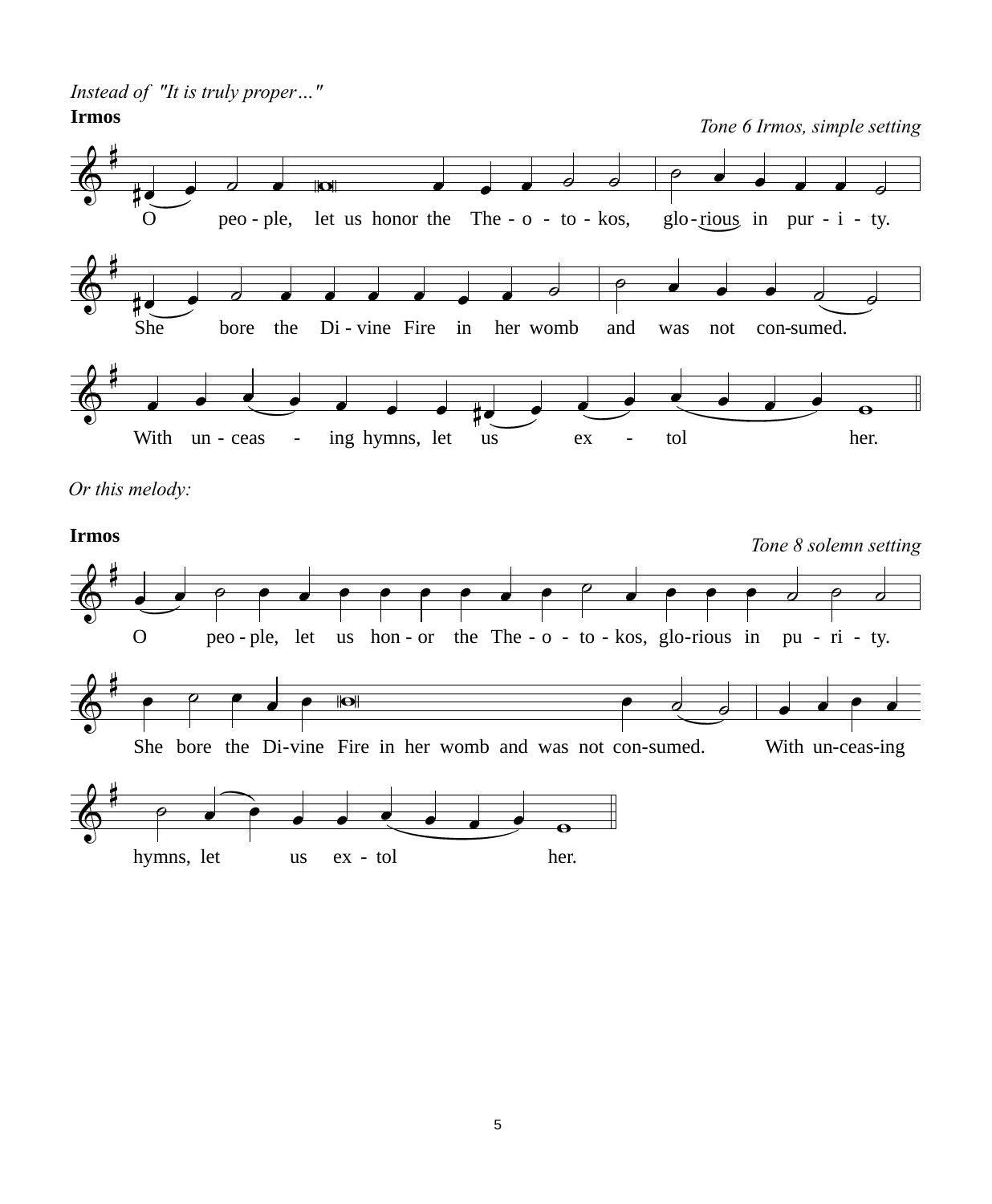*Instead of "It is truly proper…"*

 $\frac{\theta}{\Theta}$ #  $\frac{1}{x}$   $\frac{1}{x}$   $\frac{1}{x}$   $\frac{1}{x}$   $\frac{1}{x}$   $\frac{1}{x}$   $\frac{1}{x}$   $\frac{1}{x}$   $\frac{1}{x}$   $\frac{1}{x}$   $\frac{1}{x}$   $\frac{1}{x}$   $\frac{1}{x}$   $\frac{1}{x}$   $\frac{1}{x}$   $\frac{1}{x}$   $\frac{1}{x}$   $\frac{1}{x}$   $\frac{1}{x}$   $\frac{1}{x}$   $\frac{1}{x}$   $\frac{1}{x}$  O peo-ple, let us honor the The -  $o$  - to - kos, glo-rious in pur - i - ty.  $\circ$   $\bullet$   $\bullet$   $\bullet$   $\circ$  $\frac{2}{9}$ #e\_e d a a a a a c d d a c d d d a c d d d a c d d d a c d d d a c d d d a c d d a c d d d a c d d a c d d a c She bore the Di-vine Fire in her womb and was not con-sumed.  $e$   $\bullet$   $\bullet$   $\bullet$   $\bullet$   $\bullet$ & # <sup>œ</sup> <sup>œ</sup> <sup>œ</sup> <sup>œ</sup> <sup>œ</sup> <sup>œ</sup> <sup>œ</sup> #œ <sup>œ</sup> <sup>œ</sup> <sup>œ</sup> <sup>œ</sup> <sup>œ</sup> <sup>œ</sup> <sup>œ</sup> <sup>w</sup> With  $un - ceas - \text{ing hymns}$ , let  $us - \text{ex} - \text{tol}$  her. **Irmos** *Tone 6 Irmos, simple setting*

*Or this melody:*



5